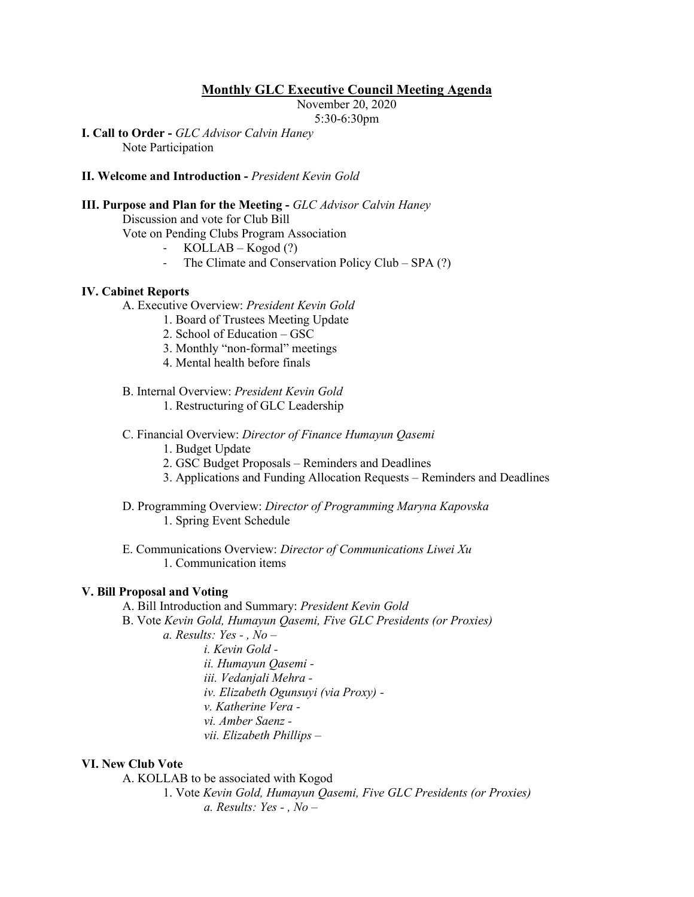# **Monthly GLC Executive Council Meeting Agenda**

November 20, 2020

5:30-6:30pm

**I. Call to Order -** *GLC Advisor Calvin Haney* Note Participation

## **II. Welcome and Introduction -** *President Kevin Gold*

## **III. Purpose and Plan for the Meeting -** *GLC Advisor Calvin Haney*

Discussion and vote for Club Bill

Vote on Pending Clubs Program Association

- $KOLLAB Kogod$  (?)
- The Climate and Conservation Policy Club  $SPA$  (?)

#### **IV. Cabinet Reports**

A. Executive Overview: *President Kevin Gold*

- 1. Board of Trustees Meeting Update
- 2. School of Education GSC
- 3. Monthly "non-formal" meetings
- 4. Mental health before finals

B. Internal Overview: *President Kevin Gold*

- 1. Restructuring of GLC Leadership
- C. Financial Overview: *Director of Finance Humayun Qasemi*
	- 1. Budget Update
	- 2. GSC Budget Proposals Reminders and Deadlines
	- 3. Applications and Funding Allocation Requests Reminders and Deadlines
- D. Programming Overview: *Director of Programming Maryna Kapovska* 1. Spring Event Schedule
- E. Communications Overview: *Director of Communications Liwei Xu* 1. Communication items

#### **V. Bill Proposal and Voting**

- A. Bill Introduction and Summary: *President Kevin Gold*
- B. Vote *Kevin Gold, Humayun Qasemi, Five GLC Presidents (or Proxies)*
	- *a. Results: Yes - , No –*
		- *i. Kevin Gold ii. Humayun Qasemi iii. Vedanjali Mehra iv. Elizabeth Ogunsuyi (via Proxy) v. Katherine Vera vi. Amber Saenz vii. Elizabeth Phillips –*

#### **VI. New Club Vote**

A. KOLLAB to be associated with Kogod

1. Vote *Kevin Gold, Humayun Qasemi, Five GLC Presidents (or Proxies) a. Results: Yes - , No –*